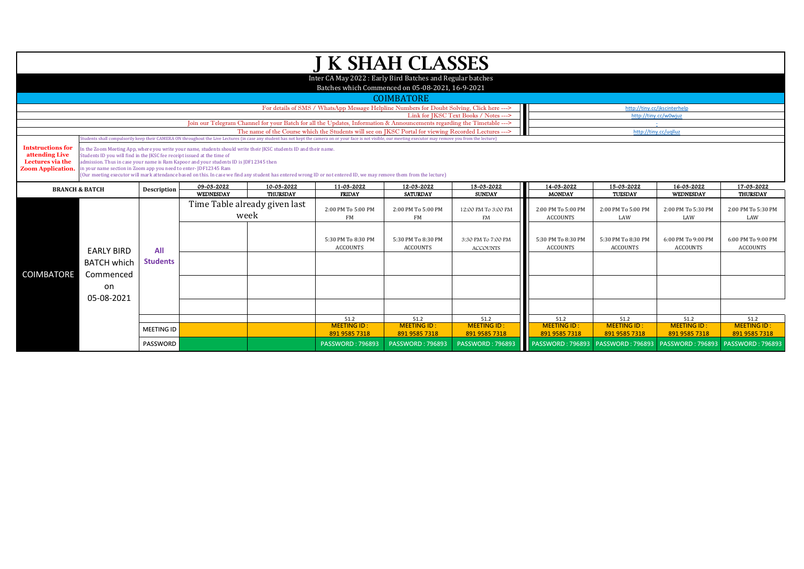|                                                                                                                        | <b>J K SHAH CLASSES</b>                                                                                                                                                                                                                |                                                                                       |                                                                                                                  |                 |                                                                                                                                                                                                                  |                         |                         |                    |                    |                                                        |                                     |  |  |  |
|------------------------------------------------------------------------------------------------------------------------|----------------------------------------------------------------------------------------------------------------------------------------------------------------------------------------------------------------------------------------|---------------------------------------------------------------------------------------|------------------------------------------------------------------------------------------------------------------|-----------------|------------------------------------------------------------------------------------------------------------------------------------------------------------------------------------------------------------------|-------------------------|-------------------------|--------------------|--------------------|--------------------------------------------------------|-------------------------------------|--|--|--|
| Inter CA May 2022: Early Bird Batches and Regular batches                                                              |                                                                                                                                                                                                                                        |                                                                                       |                                                                                                                  |                 |                                                                                                                                                                                                                  |                         |                         |                    |                    |                                                        |                                     |  |  |  |
|                                                                                                                        | Batches which Commenced on 05-08-2021, 16-9-2021                                                                                                                                                                                       |                                                                                       |                                                                                                                  |                 |                                                                                                                                                                                                                  |                         |                         |                    |                    |                                                        |                                     |  |  |  |
|                                                                                                                        |                                                                                                                                                                                                                                        |                                                                                       |                                                                                                                  |                 |                                                                                                                                                                                                                  |                         |                         |                    |                    |                                                        |                                     |  |  |  |
|                                                                                                                        | <b>COIMBATORE</b><br>For details of SMS / WhatsApp Message Helpline Numbers for Doubt Solving, Click here ---><br>http://tiny.cc/jkscinterhelj                                                                                         |                                                                                       |                                                                                                                  |                 |                                                                                                                                                                                                                  |                         |                         |                    |                    |                                                        |                                     |  |  |  |
|                                                                                                                        | Link for IKSC Text Books / Notes ---><br>http://tiny.cc/w0wjuz                                                                                                                                                                         |                                                                                       |                                                                                                                  |                 |                                                                                                                                                                                                                  |                         |                         |                    |                    |                                                        |                                     |  |  |  |
| Join our Telegram Channel for your Batch for all the Updates, Information & Announcements regarding the Timetable ---> |                                                                                                                                                                                                                                        |                                                                                       |                                                                                                                  |                 |                                                                                                                                                                                                                  |                         |                         |                    |                    |                                                        |                                     |  |  |  |
|                                                                                                                        |                                                                                                                                                                                                                                        |                                                                                       |                                                                                                                  |                 | The name of the Course which the Students will see on IKSC Portal for viewing Recorded Lectures --->                                                                                                             |                         |                         |                    |                    | http://tiny.cc/uqlluz                                  |                                     |  |  |  |
|                                                                                                                        |                                                                                                                                                                                                                                        |                                                                                       |                                                                                                                  |                 | Students shall compulsorily keep their CAMERA ON throughout the Live Lectures (in case any student has not kept the camera on or your face is not visible, our meeting executor may remove you from the lecture) |                         |                         |                    |                    |                                                        |                                     |  |  |  |
| <b>Intstructions for</b><br>attending Live                                                                             | Students ID you will find in the IKSC fee receipt issued at the time of                                                                                                                                                                |                                                                                       | In the Zoom Meeting App, where you write your name, students should write their JKSC students ID and their name. |                 |                                                                                                                                                                                                                  |                         |                         |                    |                    |                                                        |                                     |  |  |  |
| Lectures via the                                                                                                       |                                                                                                                                                                                                                                        | admission. Thus in case your name is Ram Kapoor and your students ID is JDF12345 then |                                                                                                                  |                 |                                                                                                                                                                                                                  |                         |                         |                    |                    |                                                        |                                     |  |  |  |
| <b>Zoom Application.</b>                                                                                               | in your name section in Zoom app you need to enter- JDF12345 Ram<br>(Our meeting executor will mark attendance based on this. In case we find any student has entered wrong ID or not entered ID, we may remove them from the lecture) |                                                                                       |                                                                                                                  |                 |                                                                                                                                                                                                                  |                         |                         |                    |                    |                                                        |                                     |  |  |  |
| 09-03-2022<br>10-03-2022<br>11-03-2022<br>12-03-2022                                                                   |                                                                                                                                                                                                                                        |                                                                                       |                                                                                                                  |                 |                                                                                                                                                                                                                  |                         | 13-03-2022              | 14-03-2022         | 15-03-2022         | 16-03-2022                                             | 17-03-2022                          |  |  |  |
|                                                                                                                        | <b>BRANCH &amp; BATCH</b>                                                                                                                                                                                                              | <b>Description</b>                                                                    | WEDNESDAY                                                                                                        | <b>THURSDAY</b> | <b>FRIDAY</b>                                                                                                                                                                                                    | <b>SATURDAY</b>         | <b>SUNDAY</b>           | <b>MONDAY</b>      | <b>TUESDAY</b>     | WEDNESDAY                                              | <b>THURSDAY</b>                     |  |  |  |
|                                                                                                                        | <b>FARIY BIRD</b>                                                                                                                                                                                                                      |                                                                                       | Time Table already given last                                                                                    |                 |                                                                                                                                                                                                                  |                         |                         |                    |                    |                                                        |                                     |  |  |  |
|                                                                                                                        |                                                                                                                                                                                                                                        |                                                                                       | week                                                                                                             |                 | 2:00 PM To 5:00 PM                                                                                                                                                                                               | 2:00 PM To 5:00 PM      | 12:00 PM To 3:00 PM     | 2:00 PM To 5:00 PM | 2:00 PM To 5:00 PM | 2:00 PM To 5:30 PM<br>LAW                              | 2:00 PM To 5:30 PM<br>LAW           |  |  |  |
|                                                                                                                        |                                                                                                                                                                                                                                        |                                                                                       |                                                                                                                  |                 | FM                                                                                                                                                                                                               | FM                      | <b>FM</b>               | <b>ACCOUNTS</b>    | LAW                |                                                        |                                     |  |  |  |
|                                                                                                                        |                                                                                                                                                                                                                                        |                                                                                       |                                                                                                                  |                 |                                                                                                                                                                                                                  |                         |                         |                    |                    |                                                        |                                     |  |  |  |
|                                                                                                                        |                                                                                                                                                                                                                                        | All                                                                                   |                                                                                                                  |                 | 5:30 PM To 8:30 PM                                                                                                                                                                                               | 5:30 PM To 8:30 PM      | 3:30 PM To 7:00 PM      | 5:30 PM To 8:30 PM | 5:30 PM To 8:30 PM | 6:00 PM To 9:00 PM                                     | 6:00 PM To 9:00 PM                  |  |  |  |
|                                                                                                                        |                                                                                                                                                                                                                                        |                                                                                       |                                                                                                                  |                 | <b>ACCOUNTS</b>                                                                                                                                                                                                  | <b>ACCOUNTS</b>         | <b>ACCOUNTS</b>         | <b>ACCOUNTS</b>    | <b>ACCOUNTS</b>    | ACCOUNTS                                               | <b>ACCOUNTS</b>                     |  |  |  |
|                                                                                                                        | <b>BATCH which</b>                                                                                                                                                                                                                     | <b>Students</b>                                                                       |                                                                                                                  |                 |                                                                                                                                                                                                                  |                         |                         |                    |                    |                                                        |                                     |  |  |  |
| <b>COIMBATORE</b>                                                                                                      |                                                                                                                                                                                                                                        |                                                                                       |                                                                                                                  |                 |                                                                                                                                                                                                                  |                         |                         |                    |                    |                                                        |                                     |  |  |  |
|                                                                                                                        | Commenced                                                                                                                                                                                                                              |                                                                                       |                                                                                                                  |                 |                                                                                                                                                                                                                  |                         |                         |                    |                    |                                                        |                                     |  |  |  |
|                                                                                                                        | on                                                                                                                                                                                                                                     |                                                                                       |                                                                                                                  |                 |                                                                                                                                                                                                                  |                         |                         |                    |                    |                                                        |                                     |  |  |  |
|                                                                                                                        | 05-08-2021                                                                                                                                                                                                                             |                                                                                       |                                                                                                                  |                 |                                                                                                                                                                                                                  |                         |                         |                    |                    |                                                        |                                     |  |  |  |
|                                                                                                                        |                                                                                                                                                                                                                                        |                                                                                       |                                                                                                                  |                 |                                                                                                                                                                                                                  |                         |                         |                    |                    |                                                        |                                     |  |  |  |
|                                                                                                                        |                                                                                                                                                                                                                                        |                                                                                       |                                                                                                                  |                 | 51.2                                                                                                                                                                                                             | 51.2                    | 51.2                    | 51.2               | 51.2               | 51.2                                                   | 51.2                                |  |  |  |
|                                                                                                                        |                                                                                                                                                                                                                                        | <b>MEETING ID</b>                                                                     |                                                                                                                  |                 | <b>MEETING ID:</b>                                                                                                                                                                                               | <b>MEETING ID:</b>      | <b>MEETING ID:</b>      | <b>MEETING ID:</b> | <b>MEETING ID:</b> | <b>MEETING ID:</b>                                     | <b>MEETING ID:</b><br>891 9585 7318 |  |  |  |
|                                                                                                                        |                                                                                                                                                                                                                                        | <b>PASSWORD</b>                                                                       |                                                                                                                  |                 | 891 9585 7318                                                                                                                                                                                                    | 891 9585 7318           | 891 9585 7318           | 891 9585 7318      | 891 9585 7318      | 891 9585 7318                                          |                                     |  |  |  |
|                                                                                                                        |                                                                                                                                                                                                                                        |                                                                                       |                                                                                                                  |                 | <b>PASSWORD: 796893</b>                                                                                                                                                                                          | <b>PASSWORD: 796893</b> | <b>PASSWORD: 796893</b> |                    |                    | PASSWORD: 796893   PASSWORD: 796893   PASSWORD: 796893 | <b>PASSWORD: 796893</b>             |  |  |  |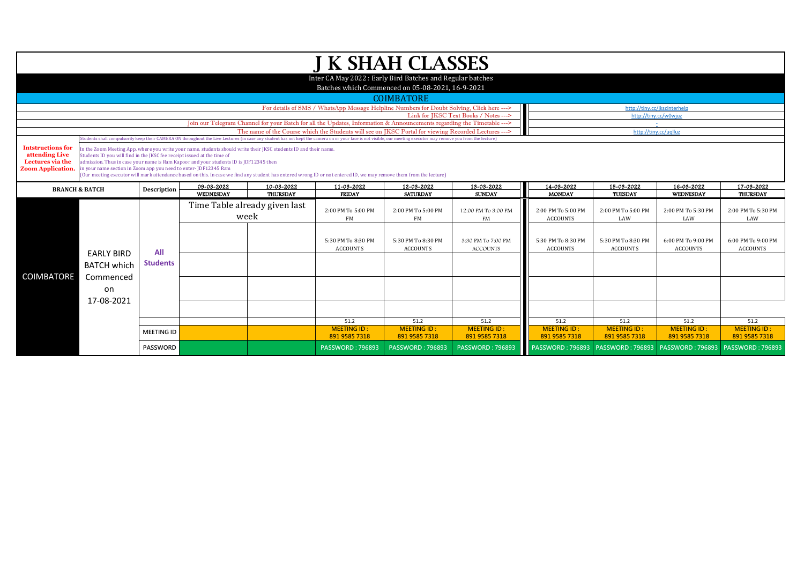| J K SHAH CLASSES                                                                                                              |                                                                                                                                                                                          |                                                                                                                                                          |                                                                                                                  |                 |                                                                                                                                                                                                                  |                            |                            |                            |                            |                            |                            |  |  |  |
|-------------------------------------------------------------------------------------------------------------------------------|------------------------------------------------------------------------------------------------------------------------------------------------------------------------------------------|----------------------------------------------------------------------------------------------------------------------------------------------------------|------------------------------------------------------------------------------------------------------------------|-----------------|------------------------------------------------------------------------------------------------------------------------------------------------------------------------------------------------------------------|----------------------------|----------------------------|----------------------------|----------------------------|----------------------------|----------------------------|--|--|--|
|                                                                                                                               |                                                                                                                                                                                          |                                                                                                                                                          |                                                                                                                  |                 |                                                                                                                                                                                                                  |                            |                            |                            |                            |                            |                            |  |  |  |
|                                                                                                                               | Inter CA May 2022: Early Bird Batches and Regular batches<br>Batches which Commenced on 05-08-2021, 16-9-2021                                                                            |                                                                                                                                                          |                                                                                                                  |                 |                                                                                                                                                                                                                  |                            |                            |                            |                            |                            |                            |  |  |  |
|                                                                                                                               |                                                                                                                                                                                          |                                                                                                                                                          |                                                                                                                  |                 |                                                                                                                                                                                                                  |                            |                            |                            |                            |                            |                            |  |  |  |
|                                                                                                                               | <b>COIMBATORE</b>                                                                                                                                                                        |                                                                                                                                                          |                                                                                                                  |                 |                                                                                                                                                                                                                  |                            |                            |                            |                            |                            |                            |  |  |  |
|                                                                                                                               | For details of SMS / WhatsApp Message Helpline Numbers for Doubt Solving, Click here ---><br>http://tiny.cc/jkscinterhelp                                                                |                                                                                                                                                          |                                                                                                                  |                 |                                                                                                                                                                                                                  |                            |                            |                            |                            |                            |                            |  |  |  |
|                                                                                                                               | Link for JKSC Text Books / Notes ---><br>http://tiny.cc/w0wjuz<br>Join our Telegram Channel for your Batch for all the Updates, Information & Announcements regarding the Timetable ---> |                                                                                                                                                          |                                                                                                                  |                 |                                                                                                                                                                                                                  |                            |                            |                            |                            |                            |                            |  |  |  |
| The name of the Course which the Students will see on IKSC Portal for viewing Recorded Lectures ---><br>http://tiny.cc/uqlluz |                                                                                                                                                                                          |                                                                                                                                                          |                                                                                                                  |                 |                                                                                                                                                                                                                  |                            |                            |                            |                            |                            |                            |  |  |  |
|                                                                                                                               |                                                                                                                                                                                          |                                                                                                                                                          |                                                                                                                  |                 | Students shall compulsorily keep their CAMERA ON throughout the Live Lectures (in case any student has not kept the camera on or your face is not yisible, our meeting executor may remove you from the lecture) |                            |                            |                            |                            |                            |                            |  |  |  |
| <b>Intstructions for</b>                                                                                                      |                                                                                                                                                                                          |                                                                                                                                                          | In the Zoom Meeting App, where you write your name, students should write their JKSC students ID and their name. |                 |                                                                                                                                                                                                                  |                            |                            |                            |                            |                            |                            |  |  |  |
| attending Live<br>Lectures via the                                                                                            | Students ID you will find in the JKSC fee receipt issued at the time of                                                                                                                  |                                                                                                                                                          |                                                                                                                  |                 |                                                                                                                                                                                                                  |                            |                            |                            |                            |                            |                            |  |  |  |
| <b>Zoom Application.</b>                                                                                                      |                                                                                                                                                                                          | admission. Thus in case your name is Ram Kapoor and your students ID is JDF12345 then<br>in your name section in Zoom app you need to enter-JDF12345 Ram |                                                                                                                  |                 |                                                                                                                                                                                                                  |                            |                            |                            |                            |                            |                            |  |  |  |
|                                                                                                                               | (Our meeting executor will mark attendance based on this. In case we find any student has entered wrong ID or not entered ID, we may remove them from the lecture)                       |                                                                                                                                                          |                                                                                                                  |                 |                                                                                                                                                                                                                  |                            |                            |                            |                            |                            |                            |  |  |  |
| <b>BRANCH &amp; BATCH</b><br><b>Description</b>                                                                               |                                                                                                                                                                                          |                                                                                                                                                          | 09-03-2022                                                                                                       | 10-03-2022      | 11-03-2022                                                                                                                                                                                                       | 12-03-2022                 | 13-03-2022                 | 14-03-2022                 | 15-03-2022                 | 16-03-2022                 | 17-03-2022                 |  |  |  |
|                                                                                                                               |                                                                                                                                                                                          |                                                                                                                                                          | <b>WEDNESDAY</b>                                                                                                 | <b>THURSDAY</b> | <b>FRIDAY</b>                                                                                                                                                                                                    | <b>SATURDAY</b>            | <b>SUNDAY</b>              | <b>MONDAY</b>              | <b>TUESDAY</b>             | WEDNESDAY                  | THURSDAY                   |  |  |  |
|                                                                                                                               |                                                                                                                                                                                          |                                                                                                                                                          | Time Table already given last                                                                                    |                 | 2:00 PM To 5:00 PM                                                                                                                                                                                               | 2:00 PM To 5:00 PM         | 12:00 PM To 3:00 PM        | 2:00 PM To 5:00 PM         | 2:00 PM To 5:00 PM         | 2:00 PM To 5:30 PM         | 2:00 PM To 5:30 PM         |  |  |  |
|                                                                                                                               |                                                                                                                                                                                          |                                                                                                                                                          | week                                                                                                             |                 | FM                                                                                                                                                                                                               | FM                         | FM                         | <b>ACCOUNTS</b>            | LAW                        | LAW                        | LAW                        |  |  |  |
|                                                                                                                               |                                                                                                                                                                                          |                                                                                                                                                          |                                                                                                                  |                 |                                                                                                                                                                                                                  |                            |                            |                            |                            |                            |                            |  |  |  |
|                                                                                                                               |                                                                                                                                                                                          | All                                                                                                                                                      |                                                                                                                  |                 | 5:30 PM To 8:30 PM                                                                                                                                                                                               | 5:30 PM To 8:30 PM         | 3:30 PM To 7:00 PM         | 5:30 PM To 8:30 PM         | 5:30 PM To 8:30 PM         | 6:00 PM To 9:00 PM         | 6:00 PM To 9:00 PM         |  |  |  |
|                                                                                                                               |                                                                                                                                                                                          |                                                                                                                                                          |                                                                                                                  |                 | <b>ACCOUNTS</b>                                                                                                                                                                                                  | <b>ACCOUNTS</b>            | <b>ACCOUNTS</b>            | <b>ACCOUNTS</b>            | <b>ACCOUNTS</b>            | <b>ACCOUNTS</b>            | <b>ACCOUNTS</b>            |  |  |  |
|                                                                                                                               | <b>EARLY BIRD</b>                                                                                                                                                                        |                                                                                                                                                          |                                                                                                                  |                 |                                                                                                                                                                                                                  |                            |                            |                            |                            |                            |                            |  |  |  |
|                                                                                                                               | <b>BATCH which</b>                                                                                                                                                                       | <b>Students</b>                                                                                                                                          |                                                                                                                  |                 |                                                                                                                                                                                                                  |                            |                            |                            |                            |                            |                            |  |  |  |
| COIMBATORE                                                                                                                    | Commenced                                                                                                                                                                                |                                                                                                                                                          |                                                                                                                  |                 |                                                                                                                                                                                                                  |                            |                            |                            |                            |                            |                            |  |  |  |
|                                                                                                                               | on                                                                                                                                                                                       |                                                                                                                                                          |                                                                                                                  |                 |                                                                                                                                                                                                                  |                            |                            |                            |                            |                            |                            |  |  |  |
|                                                                                                                               | 17-08-2021                                                                                                                                                                               |                                                                                                                                                          |                                                                                                                  |                 |                                                                                                                                                                                                                  |                            |                            |                            |                            |                            |                            |  |  |  |
|                                                                                                                               |                                                                                                                                                                                          |                                                                                                                                                          |                                                                                                                  |                 |                                                                                                                                                                                                                  |                            |                            |                            |                            |                            |                            |  |  |  |
|                                                                                                                               |                                                                                                                                                                                          |                                                                                                                                                          |                                                                                                                  |                 |                                                                                                                                                                                                                  |                            |                            |                            |                            |                            |                            |  |  |  |
|                                                                                                                               |                                                                                                                                                                                          |                                                                                                                                                          |                                                                                                                  |                 | 51.2<br><b>MEETING ID:</b>                                                                                                                                                                                       | 51.2<br><b>MEETING ID:</b> | 51.2<br><b>MEETING ID:</b> | 51.2<br><b>MEETING ID:</b> | 51.2<br><b>MEETING ID:</b> | 51.2<br><b>MEETING ID:</b> | 51.2<br><b>MEETING ID:</b> |  |  |  |
|                                                                                                                               |                                                                                                                                                                                          | <b>MEETING ID</b>                                                                                                                                        |                                                                                                                  |                 | 891 9585 7318                                                                                                                                                                                                    | 891 9585 7318              | 891 9585 7318              | 891 9585 7318              | 891 9585 7318              | 891 9585 7318              | 891 9585 7318              |  |  |  |
|                                                                                                                               |                                                                                                                                                                                          | <b>PASSWORD</b>                                                                                                                                          |                                                                                                                  |                 | <b>PASSWORD: 796893</b>                                                                                                                                                                                          | <b>PASSWORD: 796893</b>    | <b>PASSWORD: 796893</b>    |                            |                            |                            |                            |  |  |  |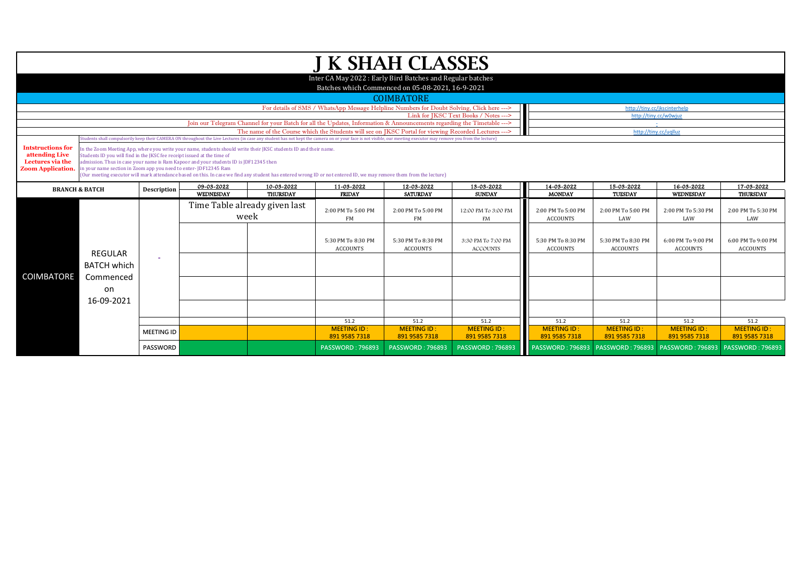| <b>J K SHAH CLASSES</b>            |                                                                                                                                                                    |                                                                                                                                                          |                                                                                                                  |                 |                                                                                                                                                                                                                  |                          |                                  |                                |                                                                           |                           |                           |  |  |
|------------------------------------|--------------------------------------------------------------------------------------------------------------------------------------------------------------------|----------------------------------------------------------------------------------------------------------------------------------------------------------|------------------------------------------------------------------------------------------------------------------|-----------------|------------------------------------------------------------------------------------------------------------------------------------------------------------------------------------------------------------------|--------------------------|----------------------------------|--------------------------------|---------------------------------------------------------------------------|---------------------------|---------------------------|--|--|
|                                    |                                                                                                                                                                    |                                                                                                                                                          |                                                                                                                  |                 |                                                                                                                                                                                                                  |                          |                                  |                                |                                                                           |                           |                           |  |  |
|                                    | Inter CA May 2022: Early Bird Batches and Regular batches<br>Batches which Commenced on 05-08-2021, 16-9-2021                                                      |                                                                                                                                                          |                                                                                                                  |                 |                                                                                                                                                                                                                  |                          |                                  |                                |                                                                           |                           |                           |  |  |
|                                    |                                                                                                                                                                    |                                                                                                                                                          |                                                                                                                  |                 |                                                                                                                                                                                                                  |                          |                                  |                                |                                                                           |                           |                           |  |  |
|                                    | <b>COIMBATORE</b><br>For details of SMS / WhatsApp Message Helpline Numbers for Doubt Solving, Click here ---><br>http://tiny.cc/jkscinterhelp                     |                                                                                                                                                          |                                                                                                                  |                 |                                                                                                                                                                                                                  |                          |                                  |                                |                                                                           |                           |                           |  |  |
|                                    | Link for JKSC Text Books / Notes ---><br>http://tiny.cc/w0wjuz                                                                                                     |                                                                                                                                                          |                                                                                                                  |                 |                                                                                                                                                                                                                  |                          |                                  |                                |                                                                           |                           |                           |  |  |
|                                    | Join our Telegram Channel for your Batch for all the Updates, Information & Announcements regarding the Timetable --->                                             |                                                                                                                                                          |                                                                                                                  |                 |                                                                                                                                                                                                                  |                          |                                  |                                |                                                                           |                           |                           |  |  |
|                                    |                                                                                                                                                                    |                                                                                                                                                          |                                                                                                                  |                 | The name of the Course which the Students will see on JKSC Portal for viewing Recorded Lectures --->                                                                                                             |                          |                                  |                                | http://tiny.cc/uqlluz                                                     |                           |                           |  |  |
|                                    |                                                                                                                                                                    |                                                                                                                                                          |                                                                                                                  |                 | Students shall compulsorily keep their CAMERA ON throughout the Live Lectures (in case any student has not kept the camera on or your face is not visible, our meeting executor may remove you from the lecture) |                          |                                  |                                |                                                                           |                           |                           |  |  |
| <b>Intstructions for</b>           |                                                                                                                                                                    |                                                                                                                                                          | In the Zoom Meeting App, where you write your name, students should write their JKSC students ID and their name. |                 |                                                                                                                                                                                                                  |                          |                                  |                                |                                                                           |                           |                           |  |  |
| attending Live<br>Lectures via the | Students ID you will find in the JKSC fee receipt issued at the time of                                                                                            |                                                                                                                                                          |                                                                                                                  |                 |                                                                                                                                                                                                                  |                          |                                  |                                |                                                                           |                           |                           |  |  |
| <b>Zoom Application.</b>           |                                                                                                                                                                    | admission. Thus in case your name is Ram Kapoor and your students ID is JDF12345 then<br>in your name section in Zoom app you need to enter-JDF12345 Ram |                                                                                                                  |                 |                                                                                                                                                                                                                  |                          |                                  |                                |                                                                           |                           |                           |  |  |
|                                    | (Our meeting executor will mark attendance based on this. In case we find any student has entered wrong ID or not entered ID, we may remove them from the lecture) |                                                                                                                                                          |                                                                                                                  |                 |                                                                                                                                                                                                                  |                          |                                  |                                |                                                                           |                           |                           |  |  |
|                                    | <b>BRANCH &amp; BATCH</b>                                                                                                                                          | <b>Description</b>                                                                                                                                       | 09-03-2022                                                                                                       | 10-03-2022      | 11-03-2022                                                                                                                                                                                                       | 12-03-2022               | 13-03-2022                       | 14-03-2022                     | 15-03-2022                                                                | 16-03-2022                | 17-03-2022                |  |  |
|                                    |                                                                                                                                                                    |                                                                                                                                                          | <b>WEDNESDAY</b>                                                                                                 | <b>THURSDAY</b> | <b>FRIDAY</b>                                                                                                                                                                                                    | <b>SATURDAY</b>          | <b>SUNDAY</b>                    | <b>MONDAY</b>                  | <b>TUESDAY</b>                                                            | <b>WEDNESDAY</b>          | <b>THURSDAY</b>           |  |  |
|                                    |                                                                                                                                                                    |                                                                                                                                                          | Time Table already given last                                                                                    |                 | 2:00 PM To 5:00 PM                                                                                                                                                                                               |                          |                                  |                                |                                                                           |                           |                           |  |  |
|                                    |                                                                                                                                                                    |                                                                                                                                                          | week                                                                                                             |                 | FM                                                                                                                                                                                                               | 2:00 PM To 5:00 PM<br>FM | 12:00 PM To 3:00 PM<br><b>FM</b> | 2:00 PM To 5:00 PM<br>ACCOUNTS | 2:00 PM To 5:00 PM<br>LAW                                                 | 2:00 PM To 5:30 PM<br>LAW | 2:00 PM To 5:30 PM<br>LAW |  |  |
|                                    |                                                                                                                                                                    |                                                                                                                                                          |                                                                                                                  |                 |                                                                                                                                                                                                                  |                          |                                  |                                |                                                                           |                           |                           |  |  |
|                                    |                                                                                                                                                                    |                                                                                                                                                          |                                                                                                                  |                 |                                                                                                                                                                                                                  |                          |                                  |                                |                                                                           |                           |                           |  |  |
|                                    |                                                                                                                                                                    |                                                                                                                                                          |                                                                                                                  |                 | 5:30 PM To 8:30 PM                                                                                                                                                                                               | 5:30 PM To 8:30 PM       | 3:30 PM To 7:00 PM               | 5:30 PM To 8:30 PM             | 5:30 PM To 8:30 PM                                                        | 6:00 PM To 9:00 PM        | 6:00 PM To 9:00 PM        |  |  |
|                                    | <b>REGULAR</b>                                                                                                                                                     |                                                                                                                                                          |                                                                                                                  |                 | <b>ACCOUNTS</b>                                                                                                                                                                                                  | <b>ACCOUNTS</b>          | <b>ACCOUNTS</b>                  | <b>ACCOUNTS</b>                | <b>ACCOUNTS</b>                                                           | <b>ACCOUNTS</b>           | <b>ACCOUNTS</b>           |  |  |
|                                    | <b>BATCH which</b>                                                                                                                                                 |                                                                                                                                                          |                                                                                                                  |                 |                                                                                                                                                                                                                  |                          |                                  |                                |                                                                           |                           |                           |  |  |
|                                    |                                                                                                                                                                    |                                                                                                                                                          |                                                                                                                  |                 |                                                                                                                                                                                                                  |                          |                                  |                                |                                                                           |                           |                           |  |  |
| COIMBATORE                         | Commenced                                                                                                                                                          |                                                                                                                                                          |                                                                                                                  |                 |                                                                                                                                                                                                                  |                          |                                  |                                |                                                                           |                           |                           |  |  |
|                                    | on                                                                                                                                                                 |                                                                                                                                                          |                                                                                                                  |                 |                                                                                                                                                                                                                  |                          |                                  |                                |                                                                           |                           |                           |  |  |
|                                    | 16-09-2021                                                                                                                                                         |                                                                                                                                                          |                                                                                                                  |                 |                                                                                                                                                                                                                  |                          |                                  |                                |                                                                           |                           |                           |  |  |
|                                    |                                                                                                                                                                    |                                                                                                                                                          |                                                                                                                  |                 |                                                                                                                                                                                                                  |                          |                                  |                                |                                                                           |                           |                           |  |  |
|                                    |                                                                                                                                                                    |                                                                                                                                                          |                                                                                                                  |                 | 51.2                                                                                                                                                                                                             | 51.2                     | 51.2                             | 51.2                           | 51.2                                                                      | 51.2                      | 51.2                      |  |  |
|                                    |                                                                                                                                                                    | <b>MEETING ID</b>                                                                                                                                        |                                                                                                                  |                 | <b>MEETING ID:</b>                                                                                                                                                                                               | <b>MEETING ID:</b>       | <b>MEETING ID:</b>               | <b>MEETING ID:</b>             | <b>MEETING ID:</b>                                                        | <b>MEETING ID:</b>        | <b>MEETING ID:</b>        |  |  |
|                                    |                                                                                                                                                                    |                                                                                                                                                          |                                                                                                                  |                 | 891 9585 7318                                                                                                                                                                                                    | 891 9585 7318            | 891 9585 7318                    | 891 9585 7318                  | 891 9585 7318                                                             | 891 9585 7318             | 891 9585 7318             |  |  |
|                                    |                                                                                                                                                                    | PASSWORD                                                                                                                                                 |                                                                                                                  |                 | <b>PASSWORD: 796893</b>                                                                                                                                                                                          | <b>PASSWORD: 796893</b>  | <b>PASSWORD: 796893</b>          |                                | PASSWORD: 796893   PASSWORD: 796893   PASSWORD: 796893   PASSWORD: 796893 |                           |                           |  |  |